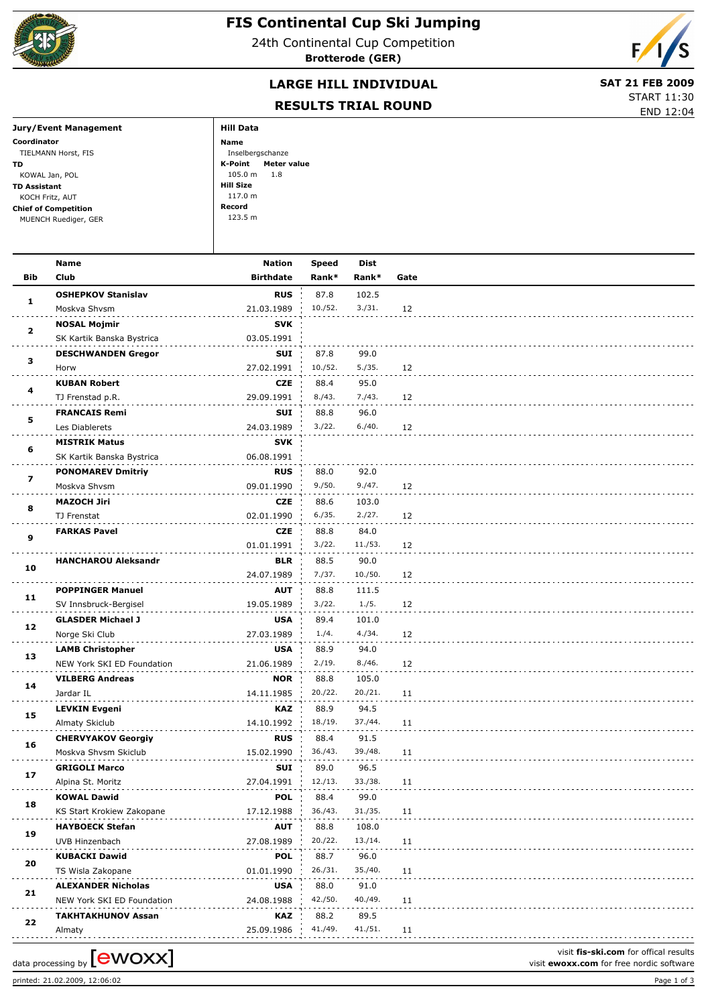

## **FIS Continental Cup Ski Jumping**

24th Continental Cup Competition **Brotterode (GER)**



## **LARGE HILL INDIVIDUAL** SAT 21 FEB 2009

**RESULTS TRIAL ROUND**



|                             | RESULTS TRIAL RUUND    | END 12:04 |
|-----------------------------|------------------------|-----------|
| Jury/Event Management       | <b>Hill Data</b>       |           |
| Coordinator                 | Name                   |           |
| TIELMANN Horst, FIS         | Inselbergschanze       |           |
| TD.                         | K-Point<br>Meter value |           |
| KOWAL Jan, POL              | $105.0 m$ 1.8          |           |
| <b>TD Assistant</b>         | Hill Size              |           |
| KOCH Fritz, AUT             | 117.0 m                |           |
| <b>Chief of Competition</b> | Record                 |           |
| MUENCH Ruediger, GER        | 123.5 m                |           |
|                             |                        |           |

|              | Name                       | Nation           | Speed   | Dist    |      |  |
|--------------|----------------------------|------------------|---------|---------|------|--|
| Bib          | Club                       | <b>Birthdate</b> | Rank*   | Rank*   | Gate |  |
|              | <b>OSHEPKOV Stanislav</b>  | <b>RUS</b>       | 87.8    | 102.5   |      |  |
| 1            | Moskva Shvsm               | 21.03.1989       | 10./52. | 3./31.  | 12   |  |
|              | <b>NOSAL Mojmir</b>        | SVK              |         |         |      |  |
| $\mathbf{2}$ | SK Kartik Banska Bystrica  | 03.05.1991       |         |         |      |  |
|              | <b>DESCHWANDEN Gregor</b>  | SUI              | 87.8    | 99.0    |      |  |
| з            | Horw                       | 27.02.1991       | 10./52. | 5./35.  | 12   |  |
|              |                            |                  |         |         |      |  |
| 4            | <b>KUBAN Robert</b>        | CZE              | 88.4    | 95.0    |      |  |
|              | TJ Frenstad p.R.           | 29.09.1991       | 8./43.  | 7./43.  | 12   |  |
| 5            | <b>FRANCAIS Remi</b>       | SUI              | 88.8    | 96.0    |      |  |
|              | Les Diablerets             | 24.03.1989       | 3./22.  | 6./40.  | 12   |  |
| 6            | <b>MISTRIK Matus</b>       | SVK              |         |         |      |  |
|              | SK Kartik Banska Bystrica  | 06.08.1991       |         |         |      |  |
|              | <b>PONOMAREV Dmitriy</b>   | <b>RUS</b>       | 88.0    | 92.0    |      |  |
| 7            | Moskva Shvsm               | 09.01.1990       | 9./50.  | 9./47.  | 12   |  |
|              | <b>MAZOCH Jiri</b>         | CZE              | 88.6    | 103.0   |      |  |
| 8            | TJ Frenstat                | 02.01.1990       | 6./35.  | 2./27.  | 12   |  |
|              | <b>FARKAS Pavel</b>        | CZE              | 88.8    | 84.0    |      |  |
| 9            |                            | 01.01.1991       | 3./22.  | 11./53. | 12   |  |
|              | <b>HANCHAROU Aleksandr</b> | BLR              | 88.5    | 90.0    |      |  |
| 10           |                            | 24.07.1989       | 7./37.  | 10./50. | 12   |  |
|              | <b>POPPINGER Manuel</b>    |                  |         |         |      |  |
| 11           |                            | AUT              | 88.8    | 111.5   |      |  |
|              | SV Innsbruck-Bergisel      | 19.05.1989       | 3./22.  | 1./5.   | 12   |  |
| 12           | <b>GLASDER Michael J</b>   | <b>USA</b>       | 89.4    | 101.0   |      |  |
|              | Norge Ski Club             | 27.03.1989       | 1./4.   | 4./34.  | 12   |  |
| 13           | <b>LAMB Christopher</b>    | <b>USA</b>       | 88.9    | 94.0    |      |  |
|              | NEW York SKI ED Foundation | 21.06.1989       | 2./19.  | 8./46.  | 12   |  |
| 14           | <b>VILBERG Andreas</b>     | <b>NOR</b>       | 88.8    | 105.0   |      |  |
|              | Jardar IL                  | 14.11.1985       | 20./22. | 20./21. | 11   |  |
| 15           | <b>LEVKIN Evgeni</b>       | KAZ              | 88.9    | 94.5    |      |  |
|              | Almaty Skiclub             | 14.10.1992       | 18./19. | 37./44. | 11   |  |
|              | <b>CHERVYAKOV Georgiy</b>  | <b>RUS</b>       | 88.4    | 91.5    |      |  |
| 16           | Moskva Shvsm Skiclub       | 15.02.1990       | 36./43. | 39./48. | 11   |  |
|              | <b>GRIGOLI Marco</b>       | SUI              | 89.0    | 96.5    |      |  |
| 17           | Alpina St. Moritz          | 27.04.1991       | 12./13. | 33./38. | 11   |  |
|              | <b>KOWAL Dawid</b>         | <b>POL</b>       | 88.4    | 99.0    |      |  |
| 18           |                            | 17.12.1988       | 36./43. | 31./35. | 11   |  |
|              | KS Start Krokiew Zakopane  |                  |         |         |      |  |
| 19           | <b>HAYBOECK Stefan</b>     | AUT              | 88.8    | 108.0   |      |  |
|              | UVB Hinzenbach             | 27.08.1989       | 20./22. | 13./14. | 11   |  |
| 20           | <b>KUBACKI Dawid</b>       | <b>POL</b>       | 88.7    | 96.0    |      |  |
|              | TS Wisla Zakopane          | 01.01.1990       | 26./31. | 35./40. | 11   |  |
| 21           | <b>ALEXANDER Nicholas</b>  | <b>USA</b>       | 88.0    | 91.0    |      |  |
|              | NEW York SKI ED Foundation | 24.08.1988       | 42./50. | 40./49. | 11   |  |
|              | <b>TAKHTAKHUNOV Assan</b>  | KAZ              | 88.2    | 89.5    |      |  |
| 22           | Almaty                     | 25.09.1986       | 41./49. | 41./51. | 11   |  |

printed: 21.02.2009, 12:06:02 Page 1 of 3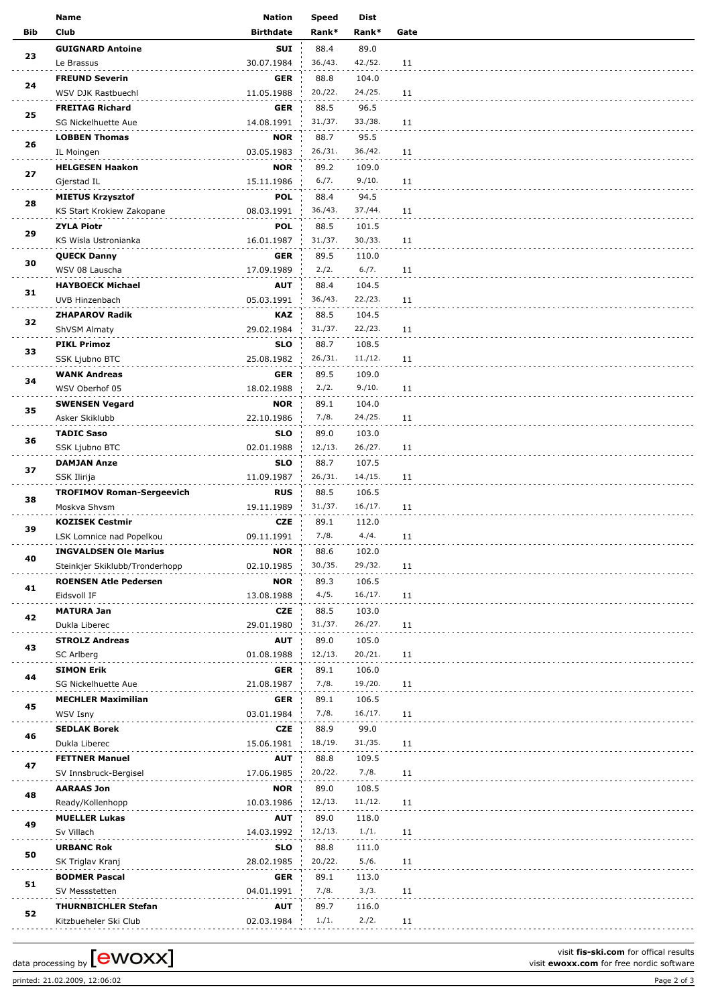|     | <b>Name</b>                      | <b>Nation</b>    | <b>Speed</b> | Dist    |      |
|-----|----------------------------------|------------------|--------------|---------|------|
| Bib | Club                             | <b>Birthdate</b> | Rank*        | Rank*   | Gate |
|     | <b>GUIGNARD Antoine</b>          | SUI              | 88.4         | 89.0    |      |
| 23  | Le Brassus                       | 30.07.1984       | 36./43.      | 42./52. | 11   |
|     | <b>FREUND Severin</b>            | <b>GER</b>       | 88.8         | 104.0   |      |
| 24  | WSV DJK Rastbuechl               | 11.05.1988       | 20./22.      | 24./25. | 11   |
|     | <b>FREITAG Richard</b>           | <b>GER</b>       | 88.5         | 96.5    |      |
| 25  | SG Nickelhuette Aue              | 14.08.1991       | 31./37.      | 33./38. | 11   |
|     | <b>LOBBEN Thomas</b>             | <b>NOR</b>       | 88.7         | 95.5    |      |
| 26  |                                  |                  | 26./31.      | 36./42. |      |
|     | IL Moingen                       | 03.05.1983       |              |         | 11   |
| 27  | <b>HELGESEN Haakon</b>           | <b>NOR</b>       | 89.2         | 109.0   |      |
|     | Gjerstad IL                      | 15.11.1986       | 6./7.        | 9./10.  | 11   |
| 28  | <b>MIETUS Krzysztof</b>          | <b>POL</b>       | 88.4         | 94.5    |      |
|     | KS Start Krokiew Zakopane        | 08.03.1991       | 36./43.      | 37./44. | 11   |
| 29  | <b>ZYLA Piotr</b>                | <b>POL</b>       | 88.5         | 101.5   |      |
|     | KS Wisla Ustronianka             | 16.01.1987       | 31./37.      | 30./33. | 11   |
| 30  | <b>QUECK Danny</b>               | <b>GER</b>       | 89.5         | 110.0   |      |
|     | WSV 08 Lauscha                   | 17.09.1989       | 2./2.        | 6./7.   | 11   |
|     | <b>HAYBOECK Michael</b>          | <b>AUT</b>       | 88.4         | 104.5   |      |
| 31  | UVB Hinzenbach                   | 05.03.1991       | 36./43.      | 22./23. | 11   |
|     | <b>ZHAPAROV Radik</b>            | KAZ              | 88.5         | 104.5   |      |
| 32  | ShVSM Almaty                     | 29.02.1984       | 31./37.      | 22./23. | 11   |
|     | <b>PIKL Primoz</b>               | <b>SLO</b>       | 88.7         | 108.5   |      |
| 33  |                                  | 25.08.1982       | 26./31.      | 11./12. | 11   |
|     | SSK Ljubno BTC                   |                  |              |         |      |
| 34  | <b>WANK Andreas</b>              | <b>GER</b>       | 89.5         | 109.0   |      |
|     | WSV Oberhof 05                   | 18.02.1988       | 2./2.        | 9./10.  | 11   |
| 35  | <b>SWENSEN Vegard</b>            | <b>NOR</b>       | 89.1         | 104.0   |      |
|     | Asker Skiklubb                   | 22.10.1986       | 7./8.        | 24./25. | 11   |
| 36  | <b>TADIC Saso</b>                | <b>SLO</b>       | 89.0         | 103.0   |      |
|     | SSK Ljubno BTC                   | 02.01.1988       | 12./13.      | 26./27. | 11   |
| 37  | <b>DAMJAN Anze</b>               | <b>SLO</b>       | 88.7         | 107.5   |      |
|     | SSK Ilirija                      | 11.09.1987       | 26./31.      | 14./15. | 11   |
|     | <b>TROFIMOV Roman-Sergeevich</b> | <b>RUS</b>       | 88.5         | 106.5   |      |
| 38  | Moskva Shvsm                     | 19.11.1989       | 31./37.      | 16./17. | 11   |
|     | <b>KOZISEK Cestmir</b>           | <b>CZE</b>       | 89.1         | 112.0   |      |
| 39  | LSK Lomnice nad Popelkou         | 09.11.1991       | 7./8.        | 4./4.   | 11   |
|     | <b>INGVALDSEN Ole Marius</b>     | <b>NOR</b>       | 88.6         | 102.0   |      |
| 40  | Steinkjer Skiklubb/Tronderhopp   | 02.10.1985       | 30./35.      | 29./32. | 11   |
|     | <b>ROENSEN Atle Pedersen</b>     | <b>NOR</b>       | 89.3         | 106.5   |      |
| 41  | Eidsvoll IF                      | 13.08.1988       | 4./5.        | 16./17. | 11   |
|     | <b>MATURA Jan</b>                | CZE              | 88.5         | 103.0   |      |
| 42  | Dukla Liberec                    |                  | 31./37.      | 26./27. |      |
|     |                                  | 29.01.1980       |              |         | 11   |
| 43  | <b>STROLZ Andreas</b>            | <b>AUT</b>       | 89.0         | 105.0   |      |
|     | SC Arlberg                       | 01.08.1988       | 12./13.      | 20./21. | 11   |
| 44  | <b>SIMON Erik</b>                | <b>GER</b>       | 89.1         | 106.0   |      |
|     | SG Nickelhuette Aue              | 21.08.1987       | 7./8.        | 19./20. | 11   |
| 45  | <b>MECHLER Maximilian</b>        | <b>GER</b>       | 89.1         | 106.5   |      |
|     | WSV Isny                         | 03.01.1984       | 7./8.        | 16./17. | 11   |
| 46  | <b>SEDLAK Borek</b>              | CZE              | 88.9         | 99.0    |      |
|     | Dukla Liberec                    | 15.06.1981       | 18./19.      | 31./35. | 11   |
|     | <b>FETTNER Manuel</b>            | <b>AUT</b>       | 88.8         | 109.5   |      |
| 47  | SV Innsbruck-Bergisel            | 17.06.1985       | 20./22.      | 7./8.   | 11   |
|     | <b>AARAAS Jon</b>                | <b>NOR</b>       | 89.0         | 108.5   |      |
| 48  | Ready/Kollenhopp                 | 10.03.1986       | 12./13.      | 11./12. | 11   |
|     | <b>MUELLER Lukas</b>             | <b>AUT</b>       | 89.0         | 118.0   |      |
| 49  | Sv Villach                       | 14.03.1992       | 12./13.      | 1./1.   | 11   |
|     | <b>URBANC Rok</b>                | <b>SLO</b>       | 88.8         | 111.0   |      |
| 50  | SK Triglav Kranj                 | 28.02.1985       | 20./22.      | 5./6.   | 11   |
|     |                                  |                  |              |         |      |
| 51  | <b>BODMER Pascal</b>             | <b>GER</b>       | 89.1         | 113.0   |      |
|     | SV Messstetten                   | 04.01.1991       | 7./8.        | 3./3.   | 11   |
| 52  | <b>THURNBICHLER Stefan</b>       | <b>AUT</b>       | 89.7         | 116.0   |      |
|     | Kitzbueheler Ski Club            | 02.03.1984       | 1./1.        | 2./2.   | 11   |

printed: 21.02.2009, 12:06:02 Page 2 of 3

visit **fis-ski.com** for offical results data processing by **CWOXX** Next Constrained the set of the NOXX of the nordic software